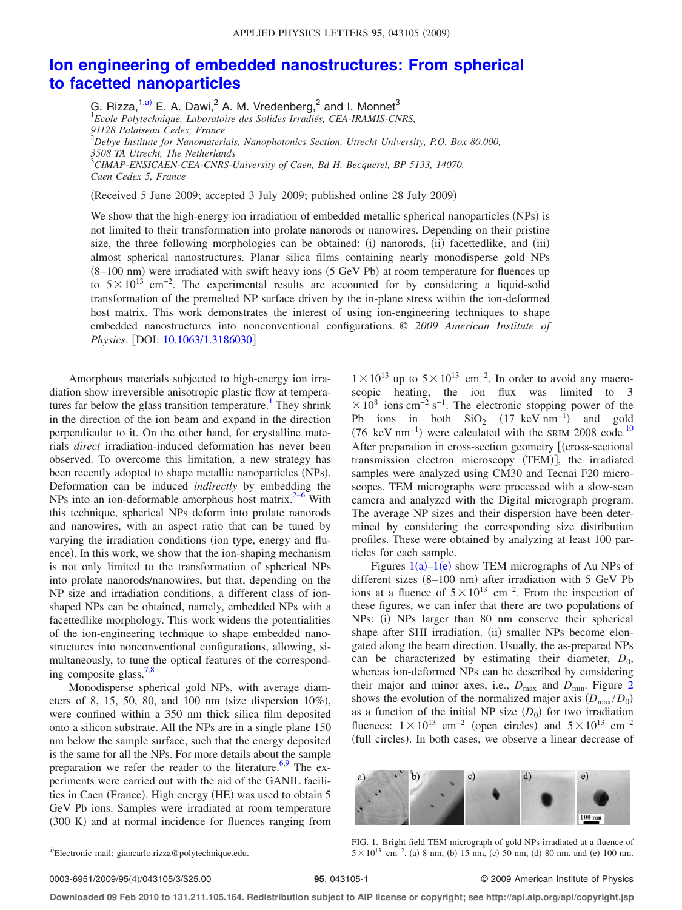## **Ion engineering of embedded nanostructures: From spherical to facetted nanoparticles**

G. Rizza,<sup>1,a)</sup> E. A. Dawi,<sup>2</sup> A. M. Vredenberg,<sup>2</sup> and I. Monnet<sup>3</sup><br><sup>1</sup> Ecole Polytechnique, Laboratoire des Solides Irradiés, CEA-IRAMIS-CNRS, *91128 Palaiseau Cedex, France* <sup>2</sup>*Debye Institute for Nanomaterials, Nanophotonics Section, Utrecht University, P.O. Box 80.000, 3508 TA Utrecht, The Netherlands* <sup>3</sup>*CIMAP-ENSICAEN-CEA-CNRS-University of Caen, Bd H. Becquerel, BP 5133, 14070, Caen Cedex 5, France*

Received 5 June 2009; accepted 3 July 2009; published online 28 July 2009-

We show that the high-energy ion irradiation of embedded metallic spherical nanoparticles (NPs) is not limited to their transformation into prolate nanorods or nanowires. Depending on their pristine size, the three following morphologies can be obtained: (i) nanorods, (ii) facettedlike, and (iii) almost spherical nanostructures. Planar silica films containing nearly monodisperse gold NPs (8–100 nm) were irradiated with swift heavy ions (5 GeV Pb) at room temperature for fluences up to  $5\times10^{13}$  cm<sup>-2</sup>. The experimental results are accounted for by considering a liquid-solid transformation of the premelted NP surface driven by the in-plane stress within the ion-deformed host matrix. This work demonstrates the interest of using ion-engineering techniques to shape embedded nanostructures into nonconventional configurations. © *2009 American Institute of Physics*. [DOI: 10.1063/1.3186030]

Amorphous materials subjected to high-energy ion irradiation show irreversible anisotropic plastic flow at temperatures far below the glass transition temperature.<sup>1</sup> They shrink in the direction of the ion beam and expand in the direction perpendicular to it. On the other hand, for crystalline materials *direct* irradiation-induced deformation has never been observed. To overcome this limitation, a new strategy has been recently adopted to shape metallic nanoparticles (NPs). Deformation can be induced *indirectly* by embedding the NPs into an ion-deformable amorphous host matrix. $2-6$  With this technique, spherical NPs deform into prolate nanorods and nanowires, with an aspect ratio that can be tuned by varying the irradiation conditions (ion type, energy and fluence). In this work, we show that the ion-shaping mechanism is not only limited to the transformation of spherical NPs into prolate nanorods/nanowires, but that, depending on the NP size and irradiation conditions, a different class of ionshaped NPs can be obtained, namely, embedded NPs with a facettedlike morphology. This work widens the potentialities of the ion-engineering technique to shape embedded nanostructures into nonconventional configurations, allowing, simultaneously, to tune the optical features of the corresponding composite glass.7,8

Monodisperse spherical gold NPs, with average diameters of 8, 15, 50, 80, and 100 nm (size dispersion  $10\%$ ), were confined within a 350 nm thick silica film deposited onto a silicon substrate. All the NPs are in a single plane 150 nm below the sample surface, such that the energy deposited is the same for all the NPs. For more details about the sample preparation we refer the reader to the literature.  $6.9$  The experiments were carried out with the aid of the GANIL facilities in Caen (France). High energy (HE) was used to obtain 5 GeV Pb ions. Samples were irradiated at room temperature (300 K) and at normal incidence for fluences ranging from

 $1 \times 10^{13}$  up to  $5 \times 10^{13}$  cm<sup>-2</sup>. In order to avoid any macroscopic heating, the ion flux was limited to 3  $\times$  10<sup>8</sup> ions cm<sup>-2</sup> s<sup>-1</sup>. The electronic stopping power of the Pb ions in both  $SiO_2$  (17 keV nm<sup>-1</sup>) and gold  $(76 \text{ keV nm}^{-1})$  were calculated with the SRIM 2008 code.<sup>10</sup> After preparation in cross-section geometry [(cross-sectional transmission electron microscopy (TEM)], the irradiated samples were analyzed using CM30 and Tecnai F20 microscopes. TEM micrographs were processed with a slow-scan camera and analyzed with the Digital micrograph program. The average NP sizes and their dispersion have been determined by considering the corresponding size distribution profiles. These were obtained by analyzing at least 100 particles for each sample.

Figures  $1(a) - 1(e)$  show TEM micrographs of Au NPs of different sizes  $(8-100 \text{ nm})$  after irradiation with 5 GeV Pb ions at a fluence of  $5\times10^{13}$  cm<sup>-2</sup>. From the inspection of these figures, we can infer that there are two populations of NPs: (i) NPs larger than 80 nm conserve their spherical shape after SHI irradiation. (ii) smaller NPs become elongated along the beam direction. Usually, the as-prepared NPs can be characterized by estimating their diameter,  $D_0$ , whereas ion-deformed NPs can be described by considering their major and minor axes, i.e.,  $D_{\text{max}}$  and  $D_{\text{min}}$ . Figure 2 shows the evolution of the normalized major axis  $(D_{\text{max}}/D_0)$ as a function of the initial NP size  $(D_0)$  for two irradiation fluences:  $1 \times 10^{13}$  cm<sup>-2</sup> (open circles) and  $5 \times 10^{13}$  cm<sup>-2</sup> (full circles). In both cases, we observe a linear decrease of



FIG. 1. Bright-field TEM micrograph of gold NPs irradiated at a fluence of  $5 \times 10^{13}$  cm<sup>-2</sup>. (a) 8 nm, (b) 15 nm, (c) 50 nm, (d) 80 nm, and (e) 100 nm.

0003-6951/2009/95(4)/043105/3/\$25.00

## **95**, 043105-1 © 2009 American Institute of Physics

**Downloaded 09 Feb 2010 to 131.211.105.164. Redistribution subject to AIP license or copyright; see http://apl.aip.org/apl/copyright.jsp**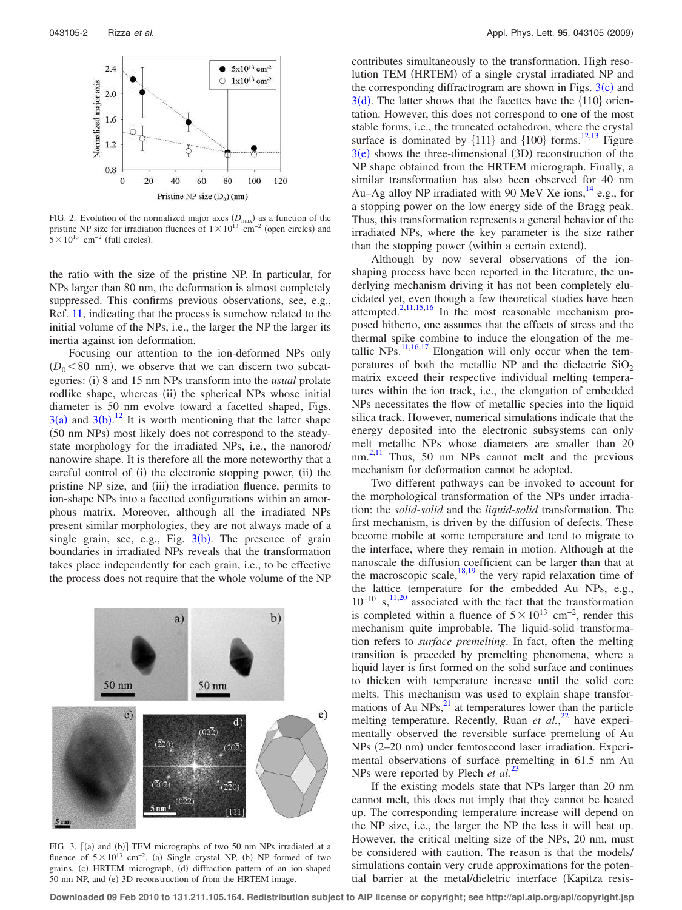

FIG. 2. Evolution of the normalized major axes  $(D_{\text{max}})$  as a function of the pristine NP size for irradiation fluences of  $1 \times 10^{13}$  cm<sup>-2</sup> (open circles) and  $5 \times 10^{13}$  cm<sup>-2</sup> (full circles).

the ratio with the size of the pristine NP. In particular, for NPs larger than 80 nm, the deformation is almost completely suppressed. This confirms previous observations, see, e.g., Ref. 11, indicating that the process is somehow related to the initial volume of the NPs, i.e., the larger the NP the larger its inertia against ion deformation.

Focusing our attention to the ion-deformed NPs only  $(D_0 < 80$  nm), we observe that we can discern two subcategories: (i) 8 and 15 nm NPs transform into the *usual* prolate rodlike shape, whereas (ii) the spherical NPs whose initial diameter is 50 nm evolve toward a facetted shaped, Figs.  $3(a)$  and  $3(b)$ .<sup>12</sup> It is worth mentioning that the latter shape (50 nm NPs) most likely does not correspond to the steadystate morphology for the irradiated NPs, i.e., the nanorod/ nanowire shape. It is therefore all the more noteworthy that a careful control of (i) the electronic stopping power, (ii) the pristine NP size, and (iii) the irradiation fluence, permits to ion-shape NPs into a facetted configurations within an amorphous matrix. Moreover, although all the irradiated NPs present similar morphologies, they are not always made of a single grain, see, e.g., Fig.  $3(b)$ . The presence of grain boundaries in irradiated NPs reveals that the transformation takes place independently for each grain, i.e., to be effective the process does not require that the whole volume of the NP



FIG. 3. [(a) and (b)] TEM micrographs of two 50 nm NPs irradiated at a fluence of  $5 \times 10^{13}$  cm<sup>-2</sup>. (a) Single crystal NP, (b) NP formed of two grains, (c) HRTEM micrograph, (d) diffraction pattern of an ion-shaped 50 nm NP, and (e) 3D reconstruction of from the HRTEM image.

contributes simultaneously to the transformation. High resolution TEM (HRTEM) of a single crystal irradiated NP and the corresponding diffractrogram are shown in Figs.  $3(c)$  and  $3(d)$ . The latter shows that the facettes have the  $\{110\}$  orientation. However, this does not correspond to one of the most stable forms, i.e., the truncated octahedron, where the crystal surface is dominated by  $\{111\}$  and  $\{100\}$  forms.<sup>12,13</sup> Figure  $3(e)$  shows the three-dimensional (3D) reconstruction of the NP shape obtained from the HRTEM micrograph. Finally, a similar transformation has also been observed for 40 nm Au–Ag alloy NP irradiated with 90 MeV Xe ions,<sup>14</sup> e.g., for a stopping power on the low energy side of the Bragg peak. Thus, this transformation represents a general behavior of the irradiated NPs, where the key parameter is the size rather than the stopping power (within a certain extend).

Although by now several observations of the ionshaping process have been reported in the literature, the underlying mechanism driving it has not been completely elucidated yet, even though a few theoretical studies have been attempted.<sup>2,11,15,16</sup> In the most reasonable mechanism proposed hitherto, one assumes that the effects of stress and the thermal spike combine to induce the elongation of the metallic  $NPs$ <sup>11,16,17</sup> Elongation will only occur when the temperatures of both the metallic NP and the dielectric  $SiO<sub>2</sub>$ matrix exceed their respective individual melting temperatures within the ion track, i.e., the elongation of embedded NPs necessitates the flow of metallic species into the liquid silica track. However, numerical simulations indicate that the energy deposited into the electronic subsystems can only melt metallic NPs whose diameters are smaller than 20 nm.<sup>2,11</sup> Thus, 50 nm NPs cannot melt and the previous mechanism for deformation cannot be adopted.

Two different pathways can be invoked to account for the morphological transformation of the NPs under irradiation: the *solid-solid* and the *liquid-solid* transformation. The first mechanism, is driven by the diffusion of defects. These become mobile at some temperature and tend to migrate to the interface, where they remain in motion. Although at the nanoscale the diffusion coefficient can be larger than that at the macroscopic scale,  $^{18,19}$  the very rapid relaxation time of the lattice temperature for the embedded Au NPs, e.g.,  $10^{-10}$  s,<sup>11,20</sup> associated with the fact that the transformation is completed within a fluence of  $5 \times 10^{13}$  cm<sup>-2</sup>, render this mechanism quite improbable. The liquid-solid transformation refers to *surface premelting*. In fact, often the melting transition is preceded by premelting phenomena, where a liquid layer is first formed on the solid surface and continues to thicken with temperature increase until the solid core melts. This mechanism was used to explain shape transformations of Au  $NPs$ ,<sup>21</sup> at temperatures lower than the particle melting temperature. Recently, Ruan et al.,<sup>22</sup> have experimentally observed the reversible surface premelting of Au NPs (2-20 nm) under femtosecond laser irradiation. Experimental observations of surface premelting in 61.5 nm Au NPs were reported by Plech *et al.*<sup>23</sup>

If the existing models state that NPs larger than 20 nm cannot melt, this does not imply that they cannot be heated up. The corresponding temperature increase will depend on the NP size, i.e., the larger the NP the less it will heat up. However, the critical melting size of the NPs, 20 nm, must be considered with caution. The reason is that the models/ simulations contain very crude approximations for the potential barrier at the metal/dieletric interface Kapitza resis-

**Downloaded 09 Feb 2010 to 131.211.105.164. Redistribution subject to AIP license or copyright; see http://apl.aip.org/apl/copyright.jsp**